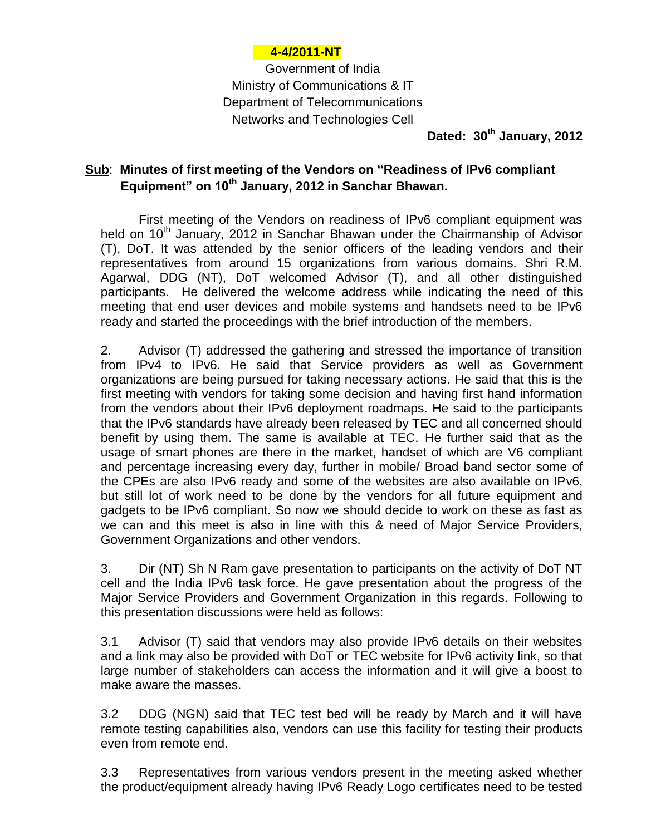## **4-4/2011-NT**

Government of India Ministry of Communications & IT Department of Telecommunications Networks and Technologies Cell

**Dated: 30th January, 2012**

## **Sub**: **Minutes of first meeting of the Vendors on "Readiness of IPv6 compliant Equipment" on 10th January, 2012 in Sanchar Bhawan.**

First meeting of the Vendors on readiness of IPv6 compliant equipment was held on 10<sup>th</sup> January, 2012 in Sanchar Bhawan under the Chairmanship of Advisor (T), DoT. It was attended by the senior officers of the leading vendors and their representatives from around 15 organizations from various domains. Shri R.M. Agarwal, DDG (NT), DoT welcomed Advisor (T), and all other distinguished participants. He delivered the welcome address while indicating the need of this meeting that end user devices and mobile systems and handsets need to be IPv6 ready and started the proceedings with the brief introduction of the members.

2. Advisor (T) addressed the gathering and stressed the importance of transition from IPv4 to IPv6. He said that Service providers as well as Government organizations are being pursued for taking necessary actions. He said that this is the first meeting with vendors for taking some decision and having first hand information from the vendors about their IPv6 deployment roadmaps. He said to the participants that the IPv6 standards have already been released by TEC and all concerned should benefit by using them. The same is available at TEC. He further said that as the usage of smart phones are there in the market, handset of which are V6 compliant and percentage increasing every day, further in mobile/ Broad band sector some of the CPEs are also IPv6 ready and some of the websites are also available on IPv6, but still lot of work need to be done by the vendors for all future equipment and gadgets to be IPv6 compliant. So now we should decide to work on these as fast as we can and this meet is also in line with this & need of Major Service Providers, Government Organizations and other vendors.

3. Dir (NT) Sh N Ram gave presentation to participants on the activity of DoT NT cell and the India IPv6 task force. He gave presentation about the progress of the Major Service Providers and Government Organization in this regards. Following to this presentation discussions were held as follows:

3.1 Advisor (T) said that vendors may also provide IPv6 details on their websites and a link may also be provided with DoT or TEC website for IPv6 activity link, so that large number of stakeholders can access the information and it will give a boost to make aware the masses.

3.2 DDG (NGN) said that TEC test bed will be ready by March and it will have remote testing capabilities also, vendors can use this facility for testing their products even from remote end.

3.3 Representatives from various vendors present in the meeting asked whether the product/equipment already having IPv6 Ready Logo certificates need to be tested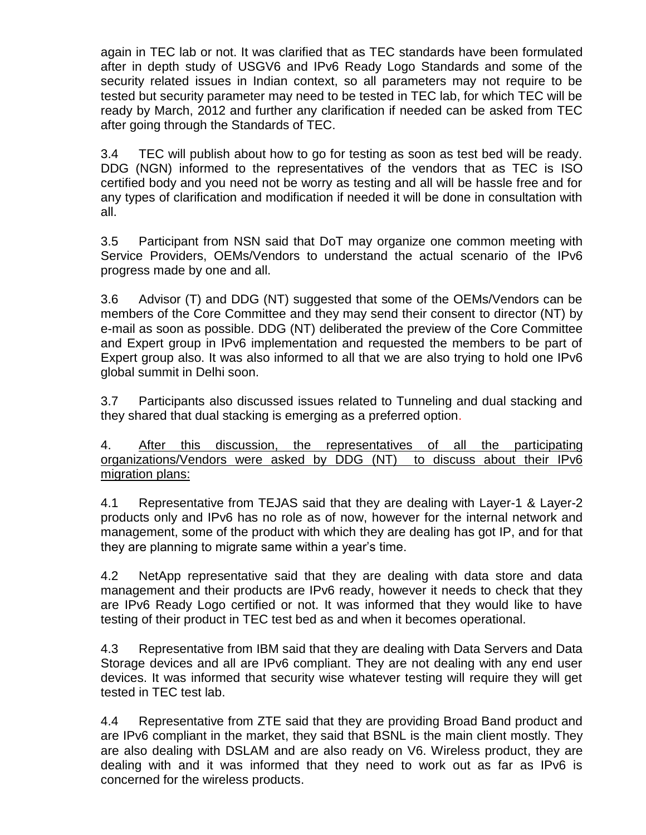again in TEC lab or not. It was clarified that as TEC standards have been formulated after in depth study of USGV6 and IPv6 Ready Logo Standards and some of the security related issues in Indian context, so all parameters may not require to be tested but security parameter may need to be tested in TEC lab, for which TEC will be ready by March, 2012 and further any clarification if needed can be asked from TEC after going through the Standards of TEC.

3.4 TEC will publish about how to go for testing as soon as test bed will be ready. DDG (NGN) informed to the representatives of the vendors that as TEC is ISO certified body and you need not be worry as testing and all will be hassle free and for any types of clarification and modification if needed it will be done in consultation with all.

3.5 Participant from NSN said that DoT may organize one common meeting with Service Providers, OEMs/Vendors to understand the actual scenario of the IPv6 progress made by one and all.

3.6 Advisor (T) and DDG (NT) suggested that some of the OEMs/Vendors can be members of the Core Committee and they may send their consent to director (NT) by e-mail as soon as possible. DDG (NT) deliberated the preview of the Core Committee and Expert group in IPv6 implementation and requested the members to be part of Expert group also. It was also informed to all that we are also trying to hold one IPv6 global summit in Delhi soon.

3.7 Participants also discussed issues related to Tunneling and dual stacking and they shared that dual stacking is emerging as a preferred option.

4. After this discussion, the representatives of all the participating organizations/Vendors were asked by DDG (NT) to discuss about their IPv6 migration plans:

4.1 Representative from TEJAS said that they are dealing with Layer-1 & Layer-2 products only and IPv6 has no role as of now, however for the internal network and management, some of the product with which they are dealing has got IP, and for that they are planning to migrate same within a year's time.

4.2 NetApp representative said that they are dealing with data store and data management and their products are IPv6 ready, however it needs to check that they are IPv6 Ready Logo certified or not. It was informed that they would like to have testing of their product in TEC test bed as and when it becomes operational.

4.3 Representative from IBM said that they are dealing with Data Servers and Data Storage devices and all are IPv6 compliant. They are not dealing with any end user devices. It was informed that security wise whatever testing will require they will get tested in TEC test lab.

4.4 Representative from ZTE said that they are providing Broad Band product and are IPv6 compliant in the market, they said that BSNL is the main client mostly. They are also dealing with DSLAM and are also ready on V6. Wireless product, they are dealing with and it was informed that they need to work out as far as IPv6 is concerned for the wireless products.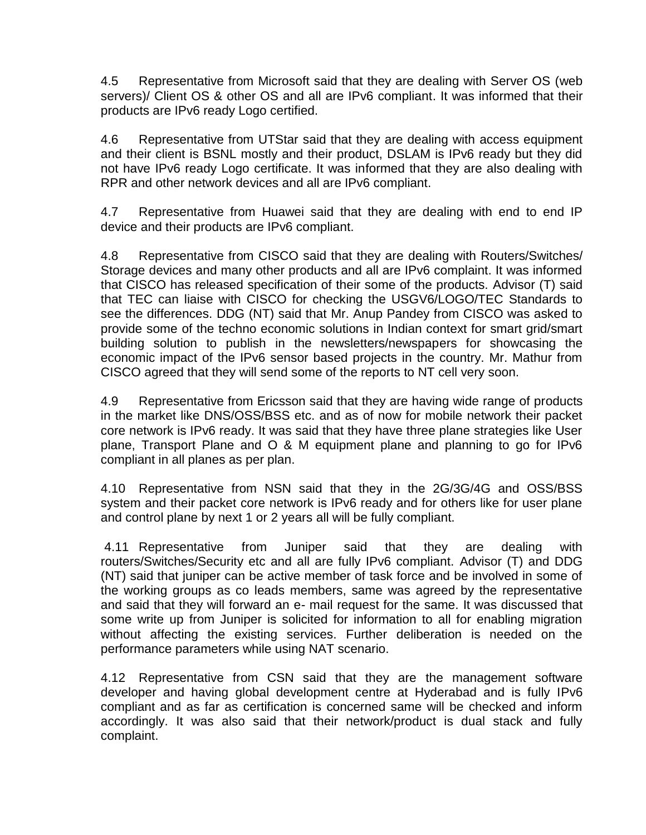4.5 Representative from Microsoft said that they are dealing with Server OS (web servers)/ Client OS & other OS and all are IPv6 compliant. It was informed that their products are IPv6 ready Logo certified.

4.6 Representative from UTStar said that they are dealing with access equipment and their client is BSNL mostly and their product, DSLAM is IPv6 ready but they did not have IPv6 ready Logo certificate. It was informed that they are also dealing with RPR and other network devices and all are IPv6 compliant.

4.7 Representative from Huawei said that they are dealing with end to end IP device and their products are IPv6 compliant.

4.8 Representative from CISCO said that they are dealing with Routers/Switches/ Storage devices and many other products and all are IPv6 complaint. It was informed that CISCO has released specification of their some of the products. Advisor (T) said that TEC can liaise with CISCO for checking the USGV6/LOGO/TEC Standards to see the differences. DDG (NT) said that Mr. Anup Pandey from CISCO was asked to provide some of the techno economic solutions in Indian context for smart grid/smart building solution to publish in the newsletters/newspapers for showcasing the economic impact of the IPv6 sensor based projects in the country. Mr. Mathur from CISCO agreed that they will send some of the reports to NT cell very soon.

4.9 Representative from Ericsson said that they are having wide range of products in the market like DNS/OSS/BSS etc. and as of now for mobile network their packet core network is IPv6 ready. It was said that they have three plane strategies like User plane, Transport Plane and O & M equipment plane and planning to go for IPv6 compliant in all planes as per plan.

4.10 Representative from NSN said that they in the 2G/3G/4G and OSS/BSS system and their packet core network is IPv6 ready and for others like for user plane and control plane by next 1 or 2 years all will be fully compliant.

4.11 Representative from Juniper said that they are dealing with routers/Switches/Security etc and all are fully IPv6 compliant. Advisor (T) and DDG (NT) said that juniper can be active member of task force and be involved in some of the working groups as co leads members, same was agreed by the representative and said that they will forward an e- mail request for the same. It was discussed that some write up from Juniper is solicited for information to all for enabling migration without affecting the existing services. Further deliberation is needed on the performance parameters while using NAT scenario.

4.12 Representative from CSN said that they are the management software developer and having global development centre at Hyderabad and is fully IPv6 compliant and as far as certification is concerned same will be checked and inform accordingly. It was also said that their network/product is dual stack and fully complaint.